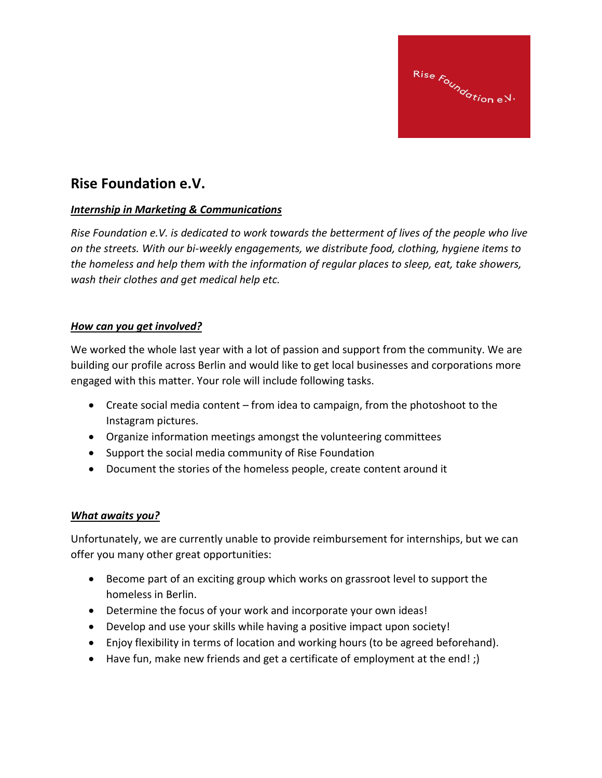

## **Rise Foundation e.V.**

## *Internship in Marketing & Communications*

*Rise Foundation e.V. is dedicated to work towards the betterment of lives of the people who live on the streets. With our bi-weekly engagements, we distribute food, clothing, hygiene items to the homeless and help them with the information of regular places to sleep, eat, take showers, wash their clothes and get medical help etc.*

## *How can you get involved?*

We worked the whole last year with a lot of passion and support from the community. We are building our profile across Berlin and would like to get local businesses and corporations more engaged with this matter. Your role will include following tasks.

- Create social media content from idea to campaign, from the photoshoot to the Instagram pictures.
- Organize information meetings amongst the volunteering committees
- Support the social media community of Rise Foundation
- Document the stories of the homeless people, create content around it

## *What awaits you?*

Unfortunately, we are currently unable to provide reimbursement for internships, but we can offer you many other great opportunities:

- Become part of an exciting group which works on grassroot level to support the homeless in Berlin.
- Determine the focus of your work and incorporate your own ideas!
- Develop and use your skills while having a positive impact upon society!
- Enjoy flexibility in terms of location and working hours (to be agreed beforehand).
- Have fun, make new friends and get a certificate of employment at the end! ;)